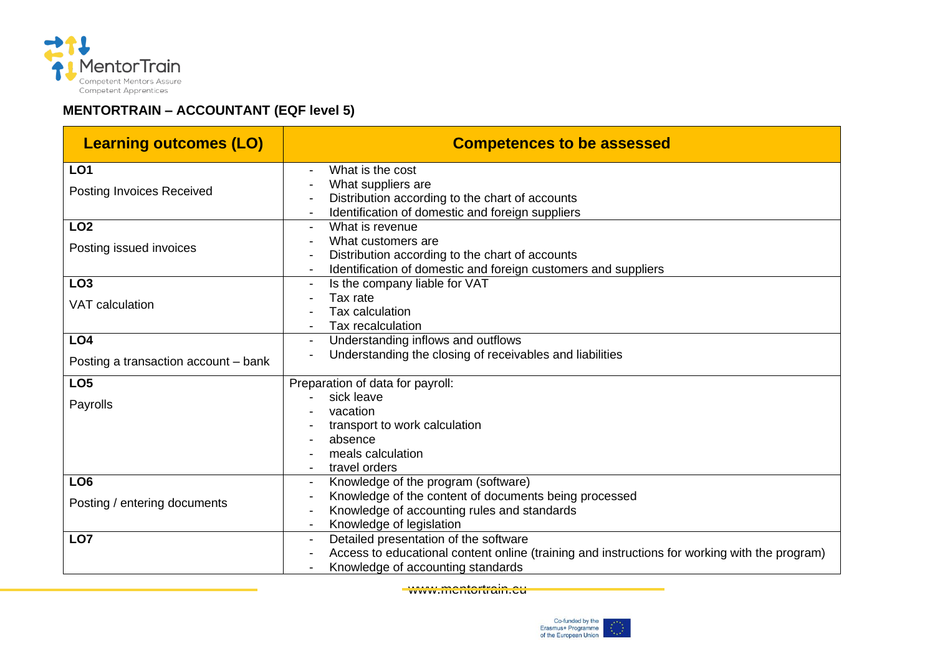

## **MENTORTRAIN – ACCOUNTANT (EQF level 5)**

| <b>Learning outcomes (LO)</b>        | <b>Competences to be assessed</b>                                                             |
|--------------------------------------|-----------------------------------------------------------------------------------------------|
| LO <sub>1</sub>                      | What is the cost                                                                              |
| Posting Invoices Received            | What suppliers are                                                                            |
|                                      | Distribution according to the chart of accounts                                               |
|                                      | Identification of domestic and foreign suppliers                                              |
| LO <sub>2</sub>                      | What is revenue                                                                               |
| Posting issued invoices              | What customers are                                                                            |
|                                      | Distribution according to the chart of accounts                                               |
|                                      | Identification of domestic and foreign customers and suppliers                                |
| LO <sub>3</sub>                      | Is the company liable for VAT                                                                 |
| <b>VAT</b> calculation               | Tax rate<br>Tax calculation                                                                   |
|                                      | Tax recalculation                                                                             |
| LO <sub>4</sub>                      | Understanding inflows and outflows                                                            |
|                                      | Understanding the closing of receivables and liabilities                                      |
| Posting a transaction account - bank |                                                                                               |
| LO <sub>5</sub>                      | Preparation of data for payroll:                                                              |
| Payrolls                             | sick leave                                                                                    |
|                                      | vacation                                                                                      |
|                                      | transport to work calculation                                                                 |
|                                      | absence                                                                                       |
|                                      | meals calculation                                                                             |
|                                      | travel orders                                                                                 |
| LO <sub>6</sub>                      | Knowledge of the program (software)                                                           |
| Posting / entering documents         | Knowledge of the content of documents being processed                                         |
|                                      | Knowledge of accounting rules and standards                                                   |
|                                      | Knowledge of legislation                                                                      |
| LO <sub>7</sub>                      | Detailed presentation of the software                                                         |
|                                      | Access to educational content online (training and instructions for working with the program) |
|                                      | Knowledge of accounting standards                                                             |

www.mentortrain.eu